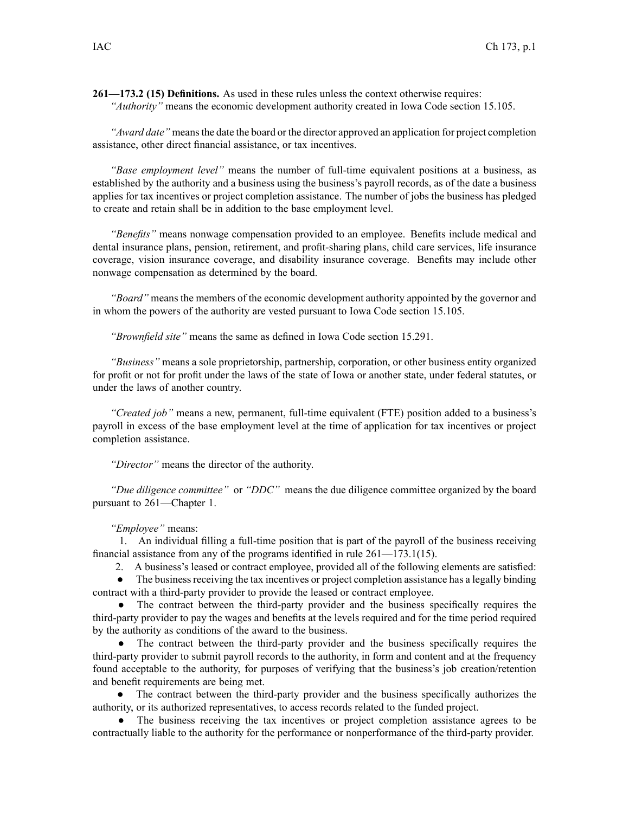**261—173.2 (15) Definitions.** As used in these rules unless the context otherwise requires: *"Authority"* means the economic development authority created in Iowa Code section [15.105](https://www.legis.iowa.gov/docs/ico/section/15.105.pdf).

*"Award date"* meansthe date the board or the director approved an application for project completion assistance, other direct financial assistance, or tax incentives.

*"Base employment level"* means the number of full-time equivalent positions at <sup>a</sup> business, as established by the authority and <sup>a</sup> business using the business's payroll records, as of the date <sup>a</sup> business applies for tax incentives or project completion assistance. The number of jobs the business has pledged to create and retain shall be in addition to the base employment level.

*"Benefits"* means nonwage compensation provided to an employee. Benefits include medical and dental insurance plans, pension, retirement, and profit-sharing plans, child care services, life insurance coverage, vision insurance coverage, and disability insurance coverage. Benefits may include other nonwage compensation as determined by the board.

*"Board"* means the members of the economic development authority appointed by the governor and in whom the powers of the authority are vested pursuan<sup>t</sup> to Iowa Code section [15.105](https://www.legis.iowa.gov/docs/ico/section/15.105.pdf).

*"Brownfield site"* means the same as defined in Iowa Code section [15.291](https://www.legis.iowa.gov/docs/ico/section/15.291.pdf).

*"Business"* means <sup>a</sup> sole proprietorship, partnership, corporation, or other business entity organized for profit or not for profit under the laws of the state of Iowa or another state, under federal statutes, or under the laws of another country.

*"Created job"* means <sup>a</sup> new, permanent, full-time equivalent (FTE) position added to <sup>a</sup> business's payroll in excess of the base employment level at the time of application for tax incentives or project completion assistance.

*"Director"* means the director of the authority.

*"Due diligence committee"* or *"DDC"* means the due diligence committee organized by the board pursuan<sup>t</sup> to 261—Chapter 1.

*"Employee"* means:

1. An individual filling <sup>a</sup> full-time position that is par<sup>t</sup> of the payroll of the business receiving financial assistance from any of the programs identified in rule 261—173.1(15).

2. A business's leased or contract employee, provided all of the following elements are satisfied:

 $\bullet$ The business receiving the tax incentives or project completion assistance has a legally binding contract with <sup>a</sup> third-party provider to provide the leased or contract employee.

● The contract between the third-party provider and the business specifically requires the third-party provider to pay the wages and benefits at the levels required and for the time period required by the authority as conditions of the award to the business.

● The contract between the third-party provider and the business specifically requires the third-party provider to submit payroll records to the authority, in form and content and at the frequency found acceptable to the authority, for purposes of verifying that the business's job creation/retention and benefit requirements are being met.

● The contract between the third-party provider and the business specifically authorizes the authority, or its authorized representatives, to access records related to the funded project.

● The business receiving the tax incentives or project completion assistance agrees to be contractually liable to the authority for the performance or nonperformance of the third-party provider.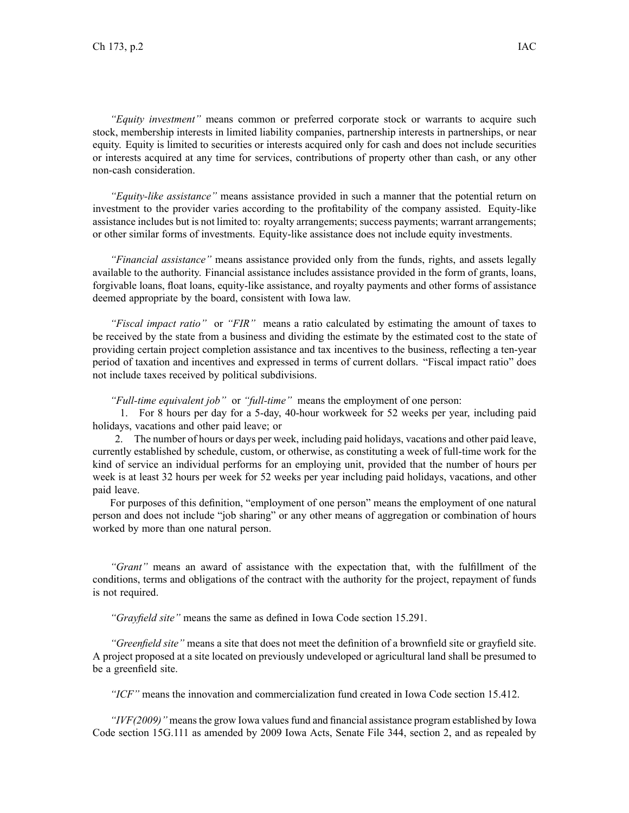*"Equity investment"* means common or preferred corporate stock or warrants to acquire such stock, membership interests in limited liability companies, partnership interests in partnerships, or near equity. Equity is limited to securities or interests acquired only for cash and does not include securities or interests acquired at any time for services, contributions of property other than cash, or any other non-cash consideration.

*"Equity-like assistance"* means assistance provided in such <sup>a</sup> manner that the potential return on investment to the provider varies according to the profitability of the company assisted. Equity-like assistance includes but is not limited to: royalty arrangements; success payments; warrant arrangements; or other similar forms of investments. Equity-like assistance does not include equity investments.

*"Financial assistance"* means assistance provided only from the funds, rights, and assets legally available to the authority. Financial assistance includes assistance provided in the form of grants, loans, forgivable loans, float loans, equity-like assistance, and royalty payments and other forms of assistance deemed appropriate by the board, consistent with Iowa law.

*"Fiscal impact ratio"* or *"FIR"* means <sup>a</sup> ratio calculated by estimating the amount of taxes to be received by the state from <sup>a</sup> business and dividing the estimate by the estimated cost to the state of providing certain project completion assistance and tax incentives to the business, reflecting <sup>a</sup> ten-year period of taxation and incentives and expressed in terms of current dollars. "Fiscal impact ratio" does not include taxes received by political subdivisions.

*"Full-time equivalent job"* or *"full-time"* means the employment of one person:

1. For 8 hours per day for <sup>a</sup> 5-day, 40-hour workweek for 52 weeks per year, including paid holidays, vacations and other paid leave; or

2. The number of hours or days per week, including paid holidays, vacations and other paid leave, currently established by schedule, custom, or otherwise, as constituting <sup>a</sup> week of full-time work for the kind of service an individual performs for an employing unit, provided that the number of hours per week is at least 32 hours per week for 52 weeks per year including paid holidays, vacations, and other paid leave.

For purposes of this definition, "employment of one person" means the employment of one natural person and does not include "job sharing" or any other means of aggregation or combination of hours worked by more than one natural person.

*"Grant"* means an award of assistance with the expectation that, with the fulfillment of the conditions, terms and obligations of the contract with the authority for the project, repaymen<sup>t</sup> of funds is not required.

*"Grayfield site"* means the same as defined in Iowa Code section [15.291](https://www.legis.iowa.gov/docs/ico/section/15.291.pdf).

*"Greenfield site"* means <sup>a</sup> site that does not meet the definition of <sup>a</sup> brownfield site or grayfield site. A project proposed at <sup>a</sup> site located on previously undeveloped or agricultural land shall be presumed to be <sup>a</sup> greenfield site.

*"ICF"* means the innovation and commercialization fund created in Iowa Code section [15.412](https://www.legis.iowa.gov/docs/ico/section/15.412.pdf).

*"IVF(2009)"* means the grow Iowa values fund and financial assistance program established by Iowa Code section [15G.111](https://www.legis.iowa.gov/docs/ico/section/15G.111.pdf) as amended by 2009 Iowa Acts, Senate File 344, section 2, and as repealed by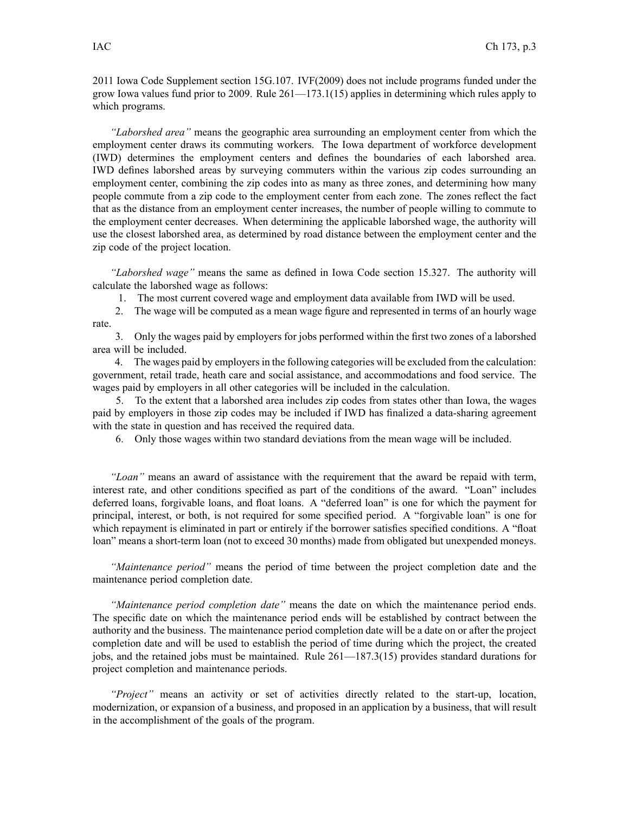2011 Iowa Code [Supplement](https://www.legis.iowa.gov/docs/ico/section/2011/15G.107.pdf) section 15G.107. IVF(2009) does not include programs funded under the grow Iowa values fund prior to 2009. Rule 261—173.1(15) applies in determining which rules apply to which programs.

*"Laborshed area"* means the geographic area surrounding an employment center from which the employment center draws its commuting workers. The Iowa department of workforce development (IWD) determines the employment centers and defines the boundaries of each laborshed area. IWD defines laborshed areas by surveying commuters within the various zip codes surrounding an employment center, combining the zip codes into as many as three zones, and determining how many people commute from <sup>a</sup> zip code to the employment center from each zone. The zones reflect the fact that as the distance from an employment center increases, the number of people willing to commute to the employment center decreases. When determining the applicable laborshed wage, the authority will use the closest laborshed area, as determined by road distance between the employment center and the zip code of the project location.

*"Laborshed wage"* means the same as defined in Iowa Code section [15.327](https://www.legis.iowa.gov/docs/ico/section/15.327.pdf). The authority will calculate the laborshed wage as follows:

1. The most current covered wage and employment data available from IWD will be used.

2. The wage will be computed as <sup>a</sup> mean wage figure and represented in terms of an hourly wage rate.

3. Only the wages paid by employers for jobs performed within the first two zones of <sup>a</sup> laborshed area will be included.

4. The wages paid by employersin the following categories will be excluded from the calculation: government, retail trade, heath care and social assistance, and accommodations and food service. The wages paid by employers in all other categories will be included in the calculation.

5. To the extent that <sup>a</sup> laborshed area includes zip codes from states other than Iowa, the wages paid by employers in those zip codes may be included if IWD has finalized <sup>a</sup> data-sharing agreemen<sup>t</sup> with the state in question and has received the required data.

6. Only those wages within two standard deviations from the mean wage will be included.

*"Loan"* means an award of assistance with the requirement that the award be repaid with term, interest rate, and other conditions specified as par<sup>t</sup> of the conditions of the award. "Loan" includes deferred loans, forgivable loans, and float loans. A "deferred loan" is one for which the paymen<sup>t</sup> for principal, interest, or both, is not required for some specified period. A "forgivable loan" is one for which repayment is eliminated in part or entirely if the borrower satisfies specified conditions. A "float" loan" means <sup>a</sup> short-term loan (not to exceed 30 months) made from obligated but unexpended moneys.

*"Maintenance period"* means the period of time between the project completion date and the maintenance period completion date.

*"Maintenance period completion date"* means the date on which the maintenance period ends. The specific date on which the maintenance period ends will be established by contract between the authority and the business. The maintenance period completion date will be <sup>a</sup> date on or after the project completion date and will be used to establish the period of time during which the project, the created jobs, and the retained jobs must be maintained. Rule 261—187.3(15) provides standard durations for project completion and maintenance periods.

*"Project"* means an activity or set of activities directly related to the start-up, location, modernization, or expansion of <sup>a</sup> business, and proposed in an application by <sup>a</sup> business, that will result in the accomplishment of the goals of the program.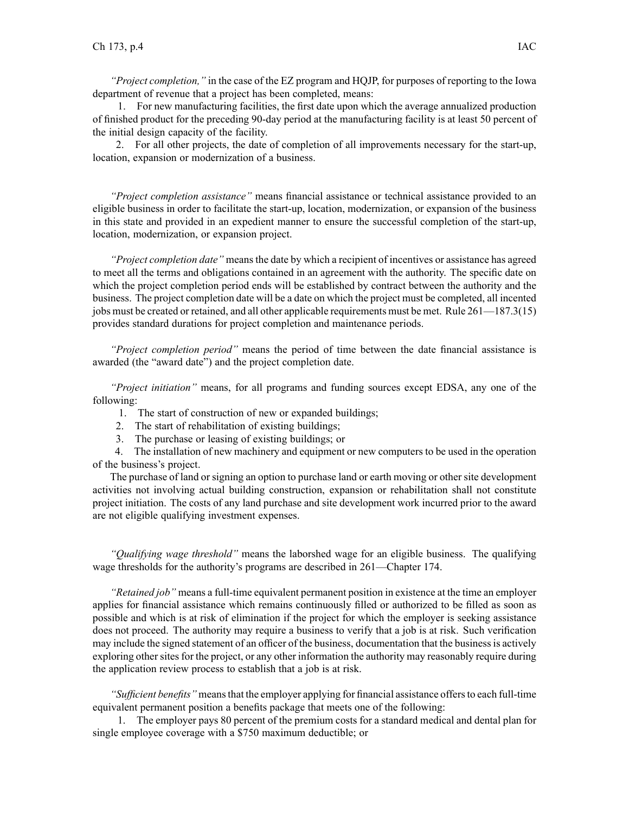*"Project completion,"* in the case of the EZ program and HQJP, for purposes of reporting to the Iowa department of revenue that <sup>a</sup> project has been completed, means:

1. For new manufacturing facilities, the first date upon which the average annualized production of finished product for the preceding 90-day period at the manufacturing facility is at least 50 percen<sup>t</sup> of the initial design capacity of the facility.

2. For all other projects, the date of completion of all improvements necessary for the start-up, location, expansion or modernization of <sup>a</sup> business.

*"Project completion assistance"* means financial assistance or technical assistance provided to an eligible business in order to facilitate the start-up, location, modernization, or expansion of the business in this state and provided in an expedient manner to ensure the successful completion of the start-up, location, modernization, or expansion project.

*"Project completion date"* means the date by which <sup>a</sup> recipient of incentives or assistance has agreed to meet all the terms and obligations contained in an agreemen<sup>t</sup> with the authority. The specific date on which the project completion period ends will be established by contract between the authority and the business. The project completion date will be <sup>a</sup> date on which the project must be completed, all incented jobs must be created or retained, and all other applicable requirements must be met. Rule 261—187.3(15) provides standard durations for project completion and maintenance periods.

*"Project completion period"* means the period of time between the date financial assistance is awarded (the "award date") and the project completion date.

*"Project initiation"* means, for all programs and funding sources excep<sup>t</sup> EDSA, any one of the following:

- 1. The start of construction of new or expanded buildings;
- 2. The start of rehabilitation of existing buildings;
- 3. The purchase or leasing of existing buildings; or

4. The installation of new machinery and equipment or new computers to be used in the operation of the business's project.

The purchase of land or signing an option to purchase land or earth moving or other site development activities not involving actual building construction, expansion or rehabilitation shall not constitute project initiation. The costs of any land purchase and site development work incurred prior to the award are not eligible qualifying investment expenses.

*"Qualifying wage threshold"* means the laborshed wage for an eligible business. The qualifying wage thresholds for the authority's programs are described in 261—Chapter 174.

*"Retained job"* means <sup>a</sup> full-time equivalent permanen<sup>t</sup> position in existence at the time an employer applies for financial assistance which remains continuously filled or authorized to be filled as soon as possible and which is at risk of elimination if the project for which the employer is seeking assistance does not proceed. The authority may require <sup>a</sup> business to verify that <sup>a</sup> job is at risk. Such verification may include the signed statement of an officer of the business, documentation that the business is actively exploring other sites for the project, or any other information the authority may reasonably require during the application review process to establish that <sup>a</sup> job is at risk.

*"Sufficient benefits"* meansthat the employer applying for financial assistance offersto each full-time equivalent permanen<sup>t</sup> position <sup>a</sup> benefits package that meets one of the following:

1. The employer pays 80 percen<sup>t</sup> of the premium costs for <sup>a</sup> standard medical and dental plan for single employee coverage with <sup>a</sup> \$750 maximum deductible; or